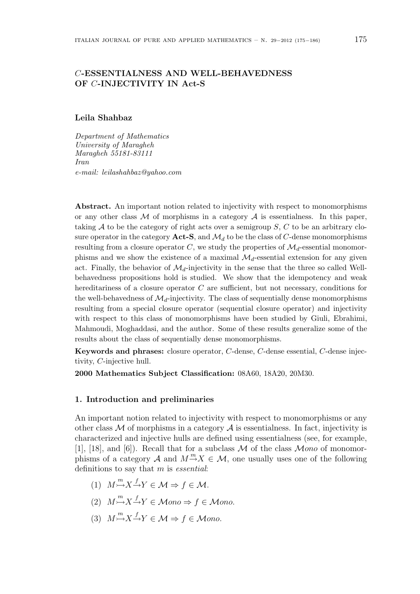# C-ESSENTIALNESS AND WELL-BEHAVEDNESS OF C-INJECTIVITY IN Act-S

#### Leila Shahbaz

Department of Mathematics University of Maragheh Maragheh 55181-83111 Iran e-mail: leilashahbaz@yahoo.com

Abstract. An important notion related to injectivity with respect to monomorphisms or any other class  $\mathcal M$  of morphisms in a category  $\mathcal A$  is essentialness. In this paper, taking  $A$  to be the category of right acts over a semigroup  $S, C$  to be an arbitrary closure operator in the category  $Act-S$ , and  $\mathcal{M}_d$  to be the class of C-dense monomorphisms resulting from a closure operator C, we study the properties of  $\mathcal{M}_d$ -essential monomorphisms and we show the existence of a maximal  $\mathcal{M}_d$ -essential extension for any given act. Finally, the behavior of  $\mathcal{M}_d$ -injectivity in the sense that the three so called Wellbehavedness propositions hold is studied. We show that the idempotency and weak hereditariness of a closure operator C are sufficient, but not necessary, conditions for the well-behavedness of  $\mathcal{M}_d$ -injectivity. The class of sequentially dense monomorphisms resulting from a special closure operator (sequential closure operator) and injectivity with respect to this class of monomorphisms have been studied by Giuli, Ebrahimi, Mahmoudi, Moghaddasi, and the author. Some of these results generalize some of the results about the class of sequentially dense monomorphisms.

Keywords and phrases: closure operator, C-dense, C-dense essential, C-dense injectivity, C-injective hull.

2000 Mathematics Subject Classification: 08A60, 18A20, 20M30.

## 1. Introduction and preliminaries

An important notion related to injectivity with respect to monomorphisms or any other class  $\mathcal M$  of morphisms in a category  $\mathcal A$  is essentialness. In fact, injectivity is characterized and injective hulls are defined using essentialness (see, for example, [1], [18], and [6]). Recall that for a subclass  $M$  of the class  $Mono$  of monomorphisms of a category A and  $M \to X \in \mathcal{M}$ , one usually uses one of the following definitions to say that m is essential:

- (1)  $M \rightarrow N^* \rightarrow Y \in \mathcal{M} \Rightarrow f \in \mathcal{M}.$
- (2)  $M \stackrel{m}{\rightarrow} X \stackrel{f}{\rightarrow} Y \in \mathcal{M}$ ono  $\Rightarrow f \in \mathcal{M}$ ono.
- (3)  $M \stackrel{m}{\rightarrow} X \stackrel{f}{\rightarrow} Y \in \mathcal{M} \Rightarrow f \in \mathcal{M}$ ono.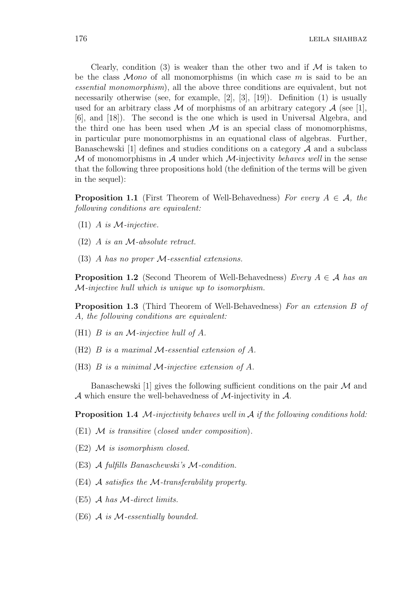Clearly, condition (3) is weaker than the other two and if  $\mathcal M$  is taken to be the class  $Mono$  of all monomorphisms (in which case m is said to be an essential monomorphism), all the above three conditions are equivalent, but not necessarily otherwise (see, for example, [2], [3], [19]). Definition (1) is usually used for an arbitrary class M of morphisms of an arbitrary category  $A$  (see [1], [6], and [18]). The second is the one which is used in Universal Algebra, and the third one has been used when  $\mathcal M$  is an special class of monomorphisms, in particular pure monomorphisms in an equational class of algebras. Further, Banaschewski [1] defines and studies conditions on a category  $A$  and a subclass M of monomorphisms in A under which M-injectivity behaves well in the sense that the following three propositions hold (the definition of the terms will be given in the sequel):

**Proposition 1.1** (First Theorem of Well-Behavedness) For every  $A \in \mathcal{A}$ , the following conditions are equivalent:

- $(11)$  A is M-injective.
- (I2) A is an M-absolute retract.
- (I3) A has no proper M-essential extensions.

**Proposition 1.2** (Second Theorem of Well-Behavedness) Every  $A \in \mathcal{A}$  has an M-injective hull which is unique up to isomorphism.

Proposition 1.3 (Third Theorem of Well-Behavedness) For an extension B of A, the following conditions are equivalent:

- (H1)  $B$  is an  $M$ -injective hull of  $A$ .
- $(H2)$  B is a maximal M-essential extension of A.
- (H3)  $B$  is a minimal  $M$ -injective extension of  $A$ .

Banaschewski [1] gives the following sufficient conditions on the pair  $\mathcal M$  and A which ensure the well-behavedness of  $M$ -injectivity in  $A$ .

**Proposition 1.4** M-injectivity behaves well in  $A$  if the following conditions hold:

(E1) M is transitive (closed under composition).

- $(E2)$  M is isomorphism closed.
- (E3) A fulfills Banaschewski's M-condition.
- $(E4)$  A satisfies the M-transferability property.
- (E5) A has M-direct limits.
- $(E6)$  A is M-essentially bounded.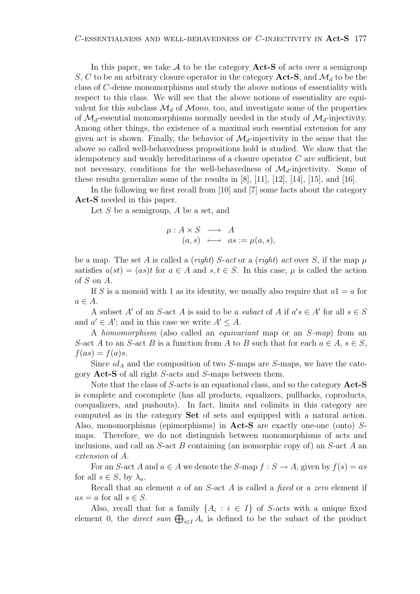In this paper, we take  $A$  to be the category  $Act-S$  of acts over a semigroup S, C to be an arbitrary closure operator in the category  $Act-S$ , and  $\mathcal{M}_d$  to be the class of C-dense monomorphisms and study the above notions of essentiality with respect to this class. We will see that the above notions of essentiality are equivalent for this subclass  $\mathcal{M}_d$  of Mono, too, and investigate some of the properties of  $\mathcal{M}_d$ -essential monomorphisms normally needed in the study of  $\mathcal{M}_d$ -injectivity. Among other things, the existence of a maximal such essential extension for any given act is shown. Finally, the behavior of  $\mathcal{M}_d$ -injectivity in the sense that the above so called well-behavedness propositions hold is studied. We show that the idempotency and weakly hereditariness of a closure operator C are sufficient, but not necessary, conditions for the well-behavedness of  $\mathcal{M}_d$ -injectivity. Some of these results generalize some of the results in  $[8]$ ,  $[11]$ ,  $[12]$ ,  $[14]$ ,  $[15]$ , and  $[16]$ .

In the following we first recall from [10] and [7] some facts about the category Act-S needed in this paper.

Let  $S$  be a semigroup,  $A$  be a set, and

$$
\begin{array}{rcl}\n\mu: A \times S & \longrightarrow & A \\
(a, s) & \longmapsto & as := \mu(a, s),\n\end{array}
$$

be a map. The set A is called a (right) S-act or a (right) act over S, if the map  $\mu$ satisfies  $a(st) = (as)t$  for  $a \in A$  and  $s, t \in S$ . In this case,  $\mu$  is called the action of S on A.

If S is a monoid with 1 as its identity, we usually also require that  $a1 = a$  for  $a \in A$ .

A subset A' of an S-act A is said to be a *subact* of A if  $a's \in A'$  for all  $s \in S$ and  $a' \in A'$ ; and in this case we write  $A' \leq A$ .

A homomorphism (also called an equivariant map or an S-map) from an S-act A to an S-act B is a function from A to B such that for each  $a \in A$ ,  $s \in S$ ,  $f(as) = f(a)s.$ 

Since  $id_A$  and the composition of two S-maps are S-maps, we have the category Act-S of all right S-acts and S-maps between them.

Note that the class of S-acts is an equational class, and so the category Act-S is complete and cocomplete (has all products, equalizers, pullbacks, coproducts, coequalizers, and pushouts). In fact, limits and colimits in this category are computed as in the category Set of sets and equipped with a natural action. Also, monomorphisms (epimorphisms) in Act-S are exactly one-one (onto) Smaps. Therefore, we do not distinguish between monomorphisms of acts and inclusions, and call an  $S$ -act B containing (an isomorphic copy of) an  $S$ -act A an extension of A.

For an S-act A and  $a \in A$  we denote the S-map  $f : S \to A$ , given by  $f(s) = as$ for all  $s \in S$ , by  $\lambda_a$ .

Recall that an element a of an S-act A is called a fixed or a zero element if  $as = a$  for all  $s \in S$ .

Also, recall that for a family  $\{A_i : i \in I\}$  of S-acts with a unique fixed Also, recall that for a family  $\{A_i : i \in I\}$  of S-acts with a unique fixed element 0, the *direct sum*  $\bigoplus_{i \in I} A_i$  is defined to be the subact of the product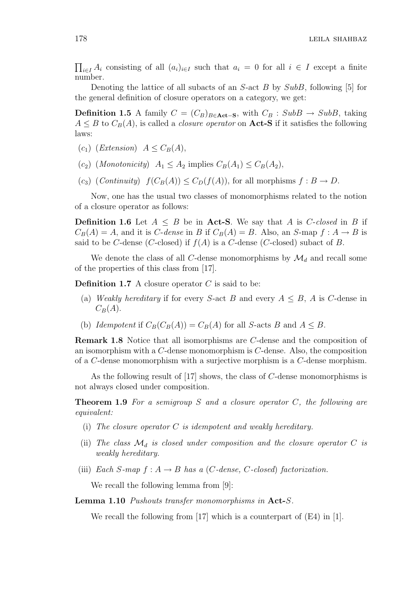$\overline{a}$  $i\in I A_i$  consisting of all  $(a_i)_{i\in I}$  such that  $a_i = 0$  for all  $i \in I$  except a finite number.

Denoting the lattice of all subacts of an  $S$ -act  $B$  by  $SubB$ , following [5] for the general definition of closure operators on a category, we get:

**Definition 1.5** A family  $C = (C_B)_{B \in \textbf{Act} - \textbf{S}}$ , with  $C_B$ : SubB → SubB, taking  $A \leq B$  to  $C_B(A)$ , is called a *closure operator* on **Act-S** if it satisfies the following laws:

- $(c_1)$  (Extension)  $A \leq C_B(A)$ .
- (c<sub>2</sub>) (Monotonicity)  $A_1 \leq A_2$  implies  $C_B(A_1) \leq C_B(A_2)$ ,
- $(c_3)$  (*Continuity*)  $f(C_B(A)) \leq C_D(f(A))$ , for all morphisms  $f : B \to D$ .

Now, one has the usual two classes of monomorphisms related to the notion of a closure operator as follows:

**Definition 1.6** Let  $A \leq B$  be in Act-S. We say that A is *C*-closed in B if  $C_B(A) = A$ , and it is C-dense in B if  $C_B(A) = B$ . Also, an S-map  $f : A \rightarrow B$  is said to be C-dense (C-closed) if  $f(A)$  is a C-dense (C-closed) subact of B.

We denote the class of all C-dense monomorphisms by  $\mathcal{M}_d$  and recall some of the properties of this class from [17].

**Definition 1.7** A closure operator  $C$  is said to be:

- (a) Weakly hereditary if for every S-act B and every  $A \leq B$ , A is C-dense in  $C_B(A)$ .
- (b) Idempotent if  $C_B(C_B(A)) = C_B(A)$  for all S-acts B and  $A \leq B$ .

Remark 1.8 Notice that all isomorphisms are C-dense and the composition of an isomorphism with a C-dense monomorphism is C-dense. Also, the composition of a C-dense monomorphism with a surjective morphism is a C-dense morphism.

As the following result of [17] shows, the class of C-dense monomorphisms is not always closed under composition.

**Theorem 1.9** For a semigroup S and a closure operator  $C$ , the following are equivalent:

- (i) The closure operator  $C$  is idempotent and weakly hereditary.
- (ii) The class  $\mathcal{M}_d$  is closed under composition and the closure operator C is weakly hereditary.
- (iii) Each S-map  $f : A \rightarrow B$  has a (C-dense, C-closed) factorization.

We recall the following lemma from [9]:

Lemma 1.10 Pushouts transfer monomorphisms in Act-S.

We recall the following from [17] which is a counterpart of (E4) in [1].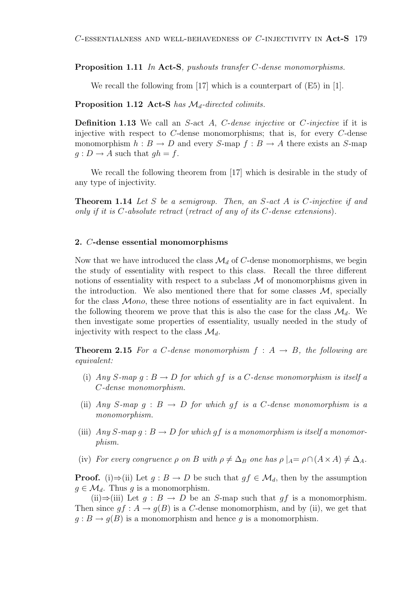Proposition 1.11 In Act-S, pushouts transfer C-dense monomorphisms.

We recall the following from [17] which is a counterpart of (E5) in [1].

Proposition 1.12 Act-S has  $\mathcal{M}_d$ -directed colimits.

**Definition 1.13** We call an S-act A, C-dense injective or C-injective if it is injective with respect to  $C$ -dense monomorphisms; that is, for every  $C$ -dense monomorphism  $h : B \to D$  and every S-map  $f : B \to A$  there exists an S-map  $g: D \to A$  such that  $gh = f$ .

We recall the following theorem from [17] which is desirable in the study of any type of injectivity.

**Theorem 1.14** Let S be a semigroup. Then, an  $S$ -act A is  $C$ -injective if and only if it is C-absolute retract (retract of any of its C-dense extensions).

## 2. C-dense essential monomorphisms

Now that we have introduced the class  $\mathcal{M}_d$  of C-dense monomorphisms, we begin the study of essentiality with respect to this class. Recall the three different notions of essentiality with respect to a subclass  $\mathcal M$  of monomorphisms given in the introduction. We also mentioned there that for some classes  $\mathcal{M}$ , specially for the class  $Mono$ , these three notions of essentiality are in fact equivalent. In the following theorem we prove that this is also the case for the class  $\mathcal{M}_d$ . We then investigate some properties of essentiality, usually needed in the study of injectivity with respect to the class  $\mathcal{M}_d$ .

**Theorem 2.15** For a C-dense monomorphism  $f : A \rightarrow B$ , the following are equivalent:

- (i) Any S-map  $g : B \to D$  for which gf is a C-dense monomorphism is itself a C-dense monomorphism.
- (ii) Any S-map  $g : B \to D$  for which gf is a C-dense monomorphism is a monomorphism.
- (iii)  $Any S-map g : B \to D$  for which gf is a monomorphism is itself a monomorphism.
- (iv) For every congruence  $\rho$  on B with  $\rho \neq \Delta_B$  one has  $\rho \mid_A = \rho \cap (A \times A) \neq \Delta_A$ .

**Proof.** (i)⇒(ii) Let  $g : B \to D$  be such that  $gf \in \mathcal{M}_d$ , then by the assumption  $g \in \mathcal{M}_d$ . Thus g is a monomorphism.

(ii)⇒(iii) Let  $q : B \to D$  be an S-map such that  $qf$  is a monomorphism. Then since  $gf: A \to g(B)$  is a C-dense monomorphism, and by (ii), we get that  $g : B \to g(B)$  is a monomorphism and hence g is a monomorphism.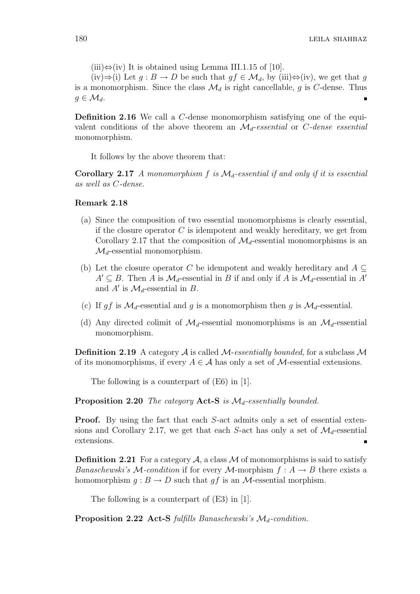$(iii) \Leftrightarrow (iv)$  It is obtained using Lemma III.1.15 of [10].

(iv)⇒(i) Let  $g : B \to D$  be such that  $gf \in \mathcal{M}_d$ , by (iii) $\Leftrightarrow$ (iv), we get that g is a monomorphism. Since the class  $\mathcal{M}_d$  is right cancellable, g is C-dense. Thus  $g \in \mathcal{M}_d$ .

Definition 2.16 We call a C-dense monomorphism satisfying one of the equivalent conditions of the above theorem an  $\mathcal{M}_d$ -essential or C-dense essential monomorphism.

It follows by the above theorem that:

Corollary 2.17 A monomorphism f is  $\mathcal{M}_d$ -essential if and only if it is essential as well as C-dense.

## Remark 2.18

- (a) Since the composition of two essential monomorphisms is clearly essential, if the closure operator  $C$  is idempotent and weakly hereditary, we get from Corollary 2.17 that the composition of  $\mathcal{M}_d$ -essential monomorphisms is an  $\mathcal{M}_d$ -essential monomorphism.
- (b) Let the closure operator C be idempotent and weakly hereditary and  $A \subseteq$  $A' \subseteq B$ . Then A is  $\mathcal{M}_d$ -essential in B if and only if A is  $\mathcal{M}_d$ -essential in A' and  $A'$  is  $\mathcal{M}_d$ -essential in  $B$ .
- (c) If gf is  $\mathcal{M}_d$ -essential and g is a monomorphism then g is  $\mathcal{M}_d$ -essential.
- (d) Any directed colimit of  $\mathcal{M}_d$ -essential monomorphisms is an  $\mathcal{M}_d$ -essential monomorphism.

**Definition 2.19** A category A is called M-essentially bounded, for a subclass  $M$ of its monomorphisms, if every  $A \in \mathcal{A}$  has only a set of  $\mathcal{M}$ -essential extensions.

The following is a counterpart of (E6) in [1].

**Proposition 2.20** The category Act-S is  $\mathcal{M}_d$ -essentially bounded.

**Proof.** By using the fact that each S-act admits only a set of essential extensions and Corollary 2.17, we get that each S-act has only a set of  $\mathcal{M}_d$ -essential extensions.

**Definition 2.21** For a category  $A$ , a class  $M$  of monomorphisms is said to satisfy *Banaschewski's*  $M$ -condition if for every  $M$ -morphism  $f : A \rightarrow B$  there exists a homomorphism  $q : B \to D$  such that qf is an M-essential morphism.

The following is a counterpart of (E3) in [1].

**Proposition 2.22 Act-S** fulfills Banaschewski's  $\mathcal{M}_d$ -condition.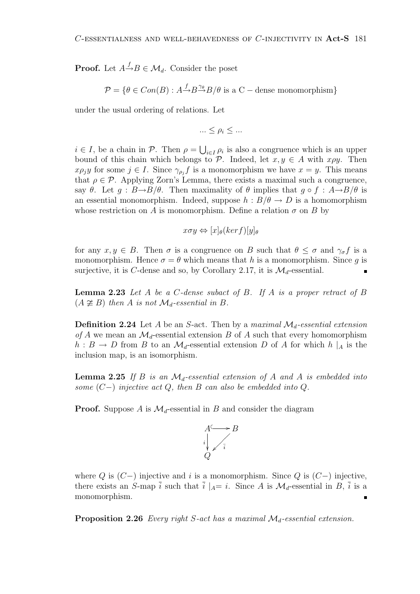**Proof.** Let  $A \stackrel{f}{\rightarrow} B \in \mathcal{M}_d$ . Consider the poset

$$
\mathcal{P} = \{ \theta \in Con(B) : A \xrightarrow{f} B \xrightarrow{\gamma_{\theta}} B/\theta \text{ is a C - dense monomorphism} \}
$$

under the usual ordering of relations. Let

$$
\ldots \leq \rho_i \leq \ldots
$$

 $i \in I$ , be a chain in  $P$ . Then  $\rho =$ S  $i \in I$   $\rho_i$  is also a congruence which is an upper bound of this chain which belongs to P. Indeed, let  $x, y \in A$  with  $x \rho y$ . Then  $x \rho_j y$  for some  $j \in I$ . Since  $\gamma_{\rho_j} f$  is a monomorphism we have  $x = y$ . This means that  $\rho \in \mathcal{P}$ . Applying Zorn's Lemma, there exists a maximal such a congruence, say  $\theta$ . Let  $g : B \rightarrow B/\theta$ . Then maximality of  $\theta$  implies that  $g \circ f : A \rightarrow B/\theta$  is an essential monomorphism. Indeed, suppose  $h : B/\theta \to D$  is a homomorphism whose restriction on A is monomorphism. Define a relation  $\sigma$  on B by

$$
x\sigma y \Leftrightarrow [x]_{\theta}(ker f)[y]_{\theta}
$$

for any  $x, y \in B$ . Then  $\sigma$  is a congruence on B such that  $\theta \leq \sigma$  and  $\gamma_{\sigma} f$  is a monomorphism. Hence  $\sigma = \theta$  which means that h is a monomorphism. Since q is surjective, it is C-dense and so, by Corollary 2.17, it is  $\mathcal{M}_d$ -essential.

**Lemma 2.23** Let A be a C-dense subact of B. If A is a proper retract of B  $(A \not\cong B)$  then A is not  $\mathcal{M}_d$ -essential in B.

**Definition 2.24** Let A be an S-act. Then by a maximal  $\mathcal{M}_d$ -essential extension of A we mean an  $\mathcal{M}_d$ -essential extension B of A such that every homomorphism  $h : B \to D$  from B to an  $\mathcal{M}_d$ -essential extension D of A for which  $h \mid_A$  is the inclusion map, is an isomorphism.

**Lemma 2.25** If B is an  $\mathcal{M}_d$ -essential extension of A and A is embedded into some  $(C-)$  injective act Q, then B can also be embedded into Q.

**Proof.** Suppose A is  $\mathcal{M}_d$ -essential in B and consider the diagram



where  $Q$  is  $(C-)$  injective and i is a monomorphism. Since  $Q$  is  $(C-)$  injective, there exists an S-map  $\overline{i}$  such that  $\overline{i} |_{A}=i$ . Since A is  $\mathcal{M}_d$ -essential in B,  $\overline{i}$  is a monomorphism.

**Proposition 2.26** Every right S-act has a maximal  $\mathcal{M}_d$ -essential extension.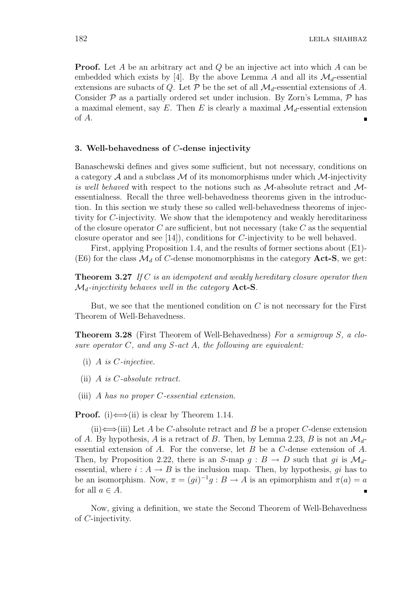**Proof.** Let A be an arbitrary act and Q be an injective act into which A can be embedded which exists by [4]. By the above Lemma A and all its  $\mathcal{M}_d$ -essential extensions are subacts of Q. Let  $P$  be the set of all  $\mathcal{M}_d$ -essential extensions of A. Consider  $P$  as a partially ordered set under inclusion. By Zorn's Lemma,  $P$  has a maximal element, say E. Then E is clearly a maximal  $\mathcal{M}_d$ -essential extension of A.

## 3. Well-behavedness of C-dense injectivity

Banaschewski defines and gives some sufficient, but not necessary, conditions on a category  $A$  and a subclass  $M$  of its monomorphisms under which  $M$ -injectivity is well behaved with respect to the notions such as  $M$ -absolute retract and  $M$ essentialness. Recall the three well-behavedness theorems given in the introduction. In this section we study these so called well-behavedness theorems of injectivity for C-injectivity. We show that the idempotency and weakly hereditariness of the closure operator  $C$  are sufficient, but not necessary (take  $C$  as the sequential closure operator and see [14]), conditions for C-injectivity to be well behaved.

First, applying Proposition 1.4, and the results of former sections about (E1)- (E6) for the class  $\mathcal{M}_d$  of C-dense monomorphisms in the category **Act-S**, we get:

**Theorem 3.27** If C is an idempotent and weakly hereditary closure operator then  $\mathcal{M}_d$ -injectivity behaves well in the category **Act-S**.

But, we see that the mentioned condition on  $C$  is not necessary for the First Theorem of Well-Behavedness.

**Theorem 3.28** (First Theorem of Well-Behavedness) For a semigroup S, a closure operator  $C$ , and any  $S$ -act  $A$ , the following are equivalent:

- $(i)$  A is *C*-injective.
- (ii) A is C-absolute retract.
- (iii) A has no proper C-essential extension.

**Proof.** (i)  $\Longleftrightarrow$  (ii) is clear by Theorem 1.14.

 $(iii) \Leftrightarrow$  (iii) Let A be C-absolute retract and B be a proper C-dense extension of A. By hypothesis, A is a retract of B. Then, by Lemma 2.23, B is not an  $\mathcal{M}_d$ essential extension of A. For the converse, let B be a  $C$ -dense extension of A. Then, by Proposition 2.22, there is an S-map  $g : B \to D$  such that gi is  $\mathcal{M}_d$ essential, where  $i : A \rightarrow B$  is the inclusion map. Then, by hypothesis, qi has to be an isomorphism. Now,  $\pi = (gi)^{-1}g : B \to A$  is an epimorphism and  $\pi(a) = a$ for all  $a \in A$ .  $\blacksquare$ 

Now, giving a definition, we state the Second Theorem of Well-Behavedness of C-injectivity.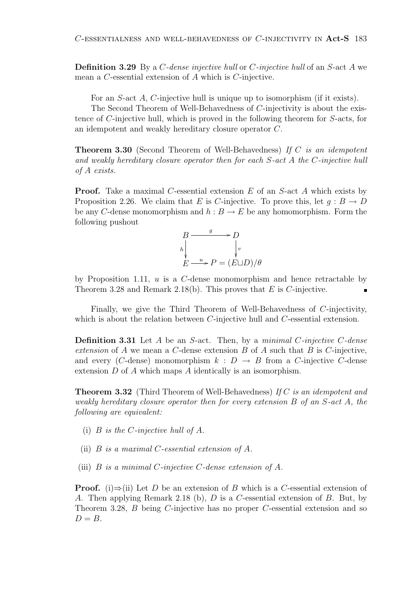Definition 3.29 By a C-dense injective hull or C-injective hull of an S-act A we mean a C-essential extension of A which is C-injective.

For an S-act A, C-injective hull is unique up to isomorphism (if it exists).

The Second Theorem of Well-Behavedness of C-injectivity is about the existence of C-injective hull, which is proved in the following theorem for S-acts, for an idempotent and weakly hereditary closure operator C.

Theorem 3.30 (Second Theorem of Well-Behavedness) If C is an idempotent and weakly hereditary closure operator then for each S-act A the C-injective hull of A exists.

**Proof.** Take a maximal C-essential extension E of an S-act A which exists by Proposition 2.26. We claim that E is C-injective. To prove this, let  $g : B \to D$ be any C-dense monomorphism and  $h : B \to E$  be any homomorphism. Form the following pushout



by Proposition 1.11,  $u$  is a  $C$ -dense monomorphism and hence retractable by Theorem 3.28 and Remark 2.18(b). This proves that  $E$  is  $C$ -injective. π

Finally, we give the Third Theorem of Well-Behavedness of C-injectivity, which is about the relation between *C*-injective hull and *C*-essential extension.

**Definition 3.31** Let  $A$  be an  $S$ -act. Then, by a minimal  $C$ -injective  $C$ -dense extension of  $A$  we mean a  $C$ -dense extension  $B$  of  $A$  such that  $B$  is  $C$ -injective, and every (C-dense) monomorphism  $k : D \to B$  from a C-injective C-dense extension D of A which maps A identically is an isomorphism.

**Theorem 3.32** (Third Theorem of Well-Behavedness) If C is an idempotent and weakly hereditary closure operator then for every extension B of an S-act A, the following are equivalent:

- (i)  $B$  is the *C*-injective hull of  $A$ .
- (ii) B is a maximal C-essential extension of A.
- (iii) B is a minimal C-injective C-dense extension of A.

**Proof.** (i)⇒(ii) Let D be an extension of B which is a C-essential extension of A. Then applying Remark 2.18 (b), D is a C-essential extension of B. But, by Theorem 3.28, B being C-injective has no proper C-essential extension and so  $D = B$ .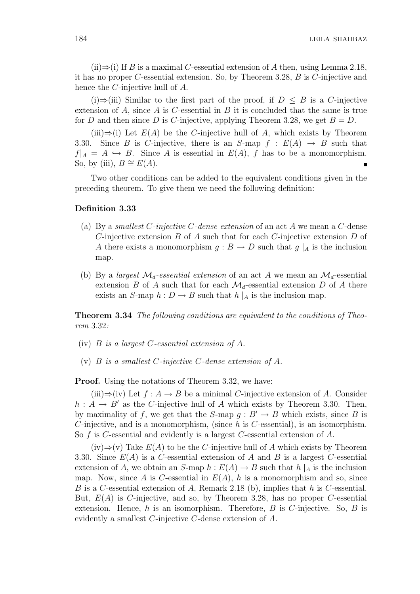$(iii) \Rightarrow (i)$  If B is a maximal C-essential extension of A then, using Lemma 2.18, it has no proper C-essential extension. So, by Theorem 3.28, B is C-injective and hence the C-injective hull of A.

(i)⇒(iii) Similar to the first part of the proof, if  $D \leq B$  is a C-injective extension of A, since A is C-essential in B it is concluded that the same is true for D and then since D is C-injective, applying Theorem 3.28, we get  $B = D$ .

(iii)⇒(i) Let  $E(A)$  be the C-injective hull of A, which exists by Theorem 3.30. Since B is C-injective, there is an S-map  $f : E(A) \rightarrow B$  such that  $f|_A = A \hookrightarrow B$ . Since A is essential in  $E(A)$ , f has to be a monomorphism. So, by (iii),  $B \cong E(A)$ .

Two other conditions can be added to the equivalent conditions given in the preceding theorem. To give them we need the following definition:

## Definition 3.33

- (a) By a smallest C-injective C-dense extension of an act  $A$  we mean a C-dense C-injective extension  $B$  of  $A$  such that for each C-injective extension  $D$  of A there exists a monomorphism  $g : B \to D$  such that  $g \mid_A$  is the inclusion map.
- (b) By a largest  $\mathcal{M}_d$ -essential extension of an act A we mean an  $\mathcal{M}_d$ -essential extension B of A such that for each  $\mathcal{M}_d$ -essential extension D of A there exists an S-map  $h: D \to B$  such that  $h \mid_A$  is the inclusion map.

Theorem 3.34 The following conditions are equivalent to the conditions of Theorem 3.32:

- (iv) B is a largest C-essential extension of A.
- (v) B is a smallest C-injective C-dense extension of A.

**Proof.** Using the notations of Theorem 3.32, we have:

 $(iii) \Rightarrow (iv)$  Let  $f : A \rightarrow B$  be a minimal C-injective extension of A. Consider  $h: A \rightarrow B'$  as the C-injective hull of A which exists by Theorem 3.30. Then, by maximality of f, we get that the S-map  $g : B' \to B$  which exists, since B is C-injective, and is a monomorphism, (since  $h$  is C-essential), is an isomorphism. So f is C-essential and evidently is a largest C-essential extension of A.

 $(iv) \Rightarrow (v)$  Take  $E(A)$  to be the C-injective hull of A which exists by Theorem 3.30. Since  $E(A)$  is a C-essential extension of A and B is a largest C-essential extension of A, we obtain an S-map  $h : E(A) \to B$  such that  $h \mid_A$  is the inclusion map. Now, since A is C-essential in  $E(A)$ , h is a monomorphism and so, since B is a C-essential extension of A, Remark 2.18 (b), implies that h is C-essential. But,  $E(A)$  is C-injective, and so, by Theorem 3.28, has no proper C-essential extension. Hence, h is an isomorphism. Therefore,  $B$  is C-injective. So,  $B$  is evidently a smallest C-injective C-dense extension of A.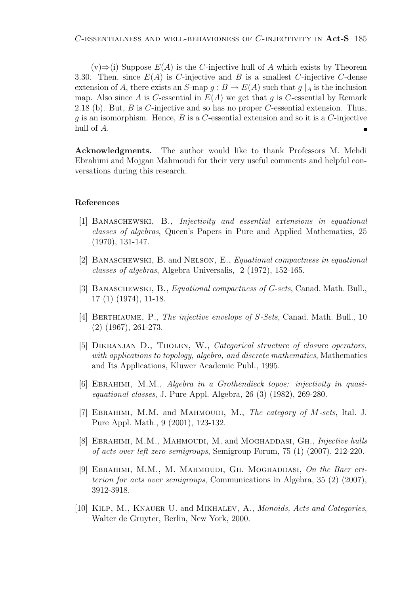$(v) \Rightarrow$ (i) Suppose  $E(A)$  is the C-injective hull of A which exists by Theorem 3.30. Then, since  $E(A)$  is C-injective and B is a smallest C-injective C-dense extension of A, there exists an S-map  $g : B \to E(A)$  such that  $g \mid_A$  is the inclusion map. Also since A is C-essential in  $E(A)$  we get that g is C-essential by Remark 2.18 (b). But,  $B$  is  $C$ -injective and so has no proper  $C$ -essential extension. Thus, g is an isomorphism. Hence,  $B$  is a  $C$ -essential extension and so it is a  $C$ -injective hull of A.

Acknowledgments. The author would like to thank Professors M. Mehdi Ebrahimi and Mojgan Mahmoudi for their very useful comments and helpful conversations during this research.

## References

- [1] Banaschewski, B., Injectivity and essential extensions in equational classes of algebras, Queen's Papers in Pure and Applied Mathematics, 25 (1970), 131-147.
- [2] BANASCHEWSKI, B. and NELSON, E., *Equational compactness in equational* classes of algebras, Algebra Universalis, 2 (1972), 152-165.
- [3] BANASCHEWSKI, B., *Equational compactness of G-sets*, Canad. Math. Bull., 17 (1) (1974), 11-18.
- [4] Berthiaume, P., The injective envelope of S-Sets, Canad. Math. Bull., 10 (2) (1967), 261-273.
- [5] DIKRANJAN D., THOLEN, W., Categorical structure of closure operators, with applications to topology, algebra, and discrete mathematics, Mathematics and Its Applications, Kluwer Academic Publ., 1995.
- [6] Ebrahimi, M.M., Algebra in a Grothendieck topos: injectivity in quasiequational classes, J. Pure Appl. Algebra, 26 (3) (1982), 269-280.
- [7] EBRAHIMI, M.M. and MAHMOUDI, M., The category of M-sets, Ital. J. Pure Appl. Math., 9 (2001), 123-132.
- [8] EBRAHIMI, M.M., MAHMOUDI, M. and MOGHADDASI, GH., *Injective hulls* of acts over left zero semigroups, Semigroup Forum, 75 (1) (2007), 212-220.
- [9] EBRAHIMI, M.M., M. MAHMOUDI, GH. MOGHADDASI, On the Baer criterion for acts over semigroups, Communications in Algebra, 35 (2) (2007), 3912-3918.
- [10] Kilp, M., Knauer U. and Mikhalev, A., Monoids, Acts and Categories, Walter de Gruyter, Berlin, New York, 2000.